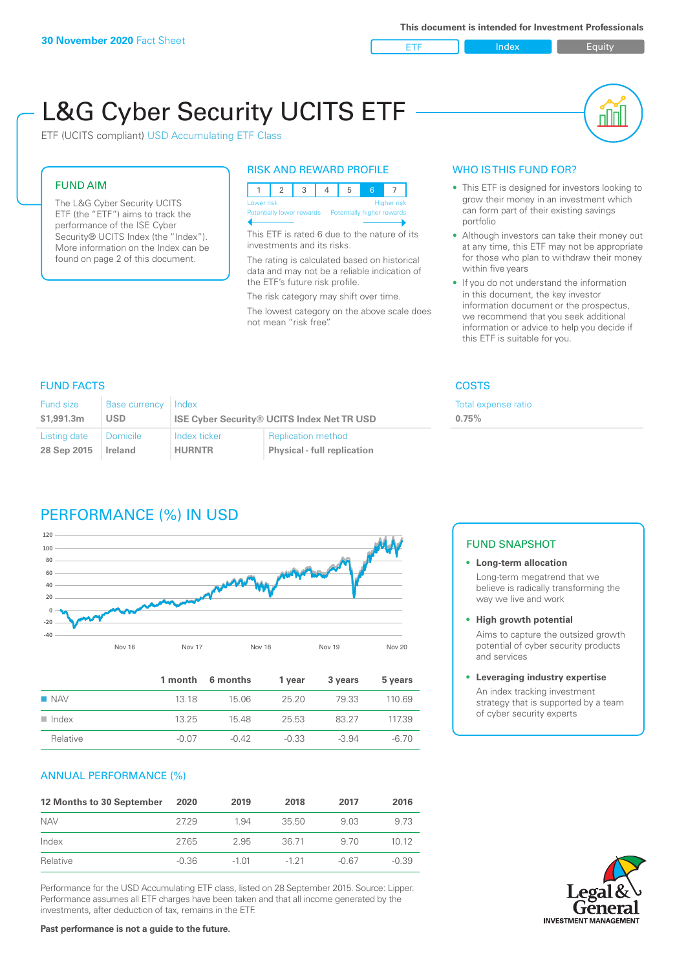ETF Index Buity

пIП

# L&G Cyber Security UCITS ETF

ETF (UCITS compliant) USD Accumulating ETF Class

#### FUND AIM

The L&G Cyber Security UCITS ETF (the "ETF") aims to track the performance of the ISE Cyber Security® UCITS Index (the "Index"). More information on the Index can be found on page 2 of this document.

#### RISK AND REWARD PROFILE

| Lower risk                                            |  |  |  | <b>Higher risk</b> |
|-------------------------------------------------------|--|--|--|--------------------|
| Potentially lower rewards  Potentially higher rewards |  |  |  |                    |

This ETF is rated 6 due to the nature of its investments and its risks.

The rating is calculated based on historical data and may not be a reliable indication of the ETF's future risk profile.

The risk category may shift over time. The lowest category on the above scale does not mean "risk free".

#### WHO IS THIS FUND FOR?

- This ETF is designed for investors looking to grow their money in an investment which can form part of their existing savings portfolio
- Although investors can take their money out at any time, this ETF may not be appropriate for those who plan to withdraw their money within five years
- If you do not understand the information in this document, the key investor information document or the prospectus, we recommend that you seek additional information or advice to help you decide if this ETF is suitable for you.

Total expense ratio

**0.75%**

#### FUND FACTS COSTS

| <b>Fund size</b> | <b>Base currency</b> | Index                                             |                                    |  |
|------------------|----------------------|---------------------------------------------------|------------------------------------|--|
| \$1,991.3m       | <b>USD</b>           | <b>ISE Cyber Security® UCITS Index Net TR USD</b> |                                    |  |
| Listing date     | Domicile             | Index ticker                                      | <b>Replication method</b>          |  |
| 28 Sep 2015      | <b>Ireland</b>       | <b>HURNTR</b>                                     | <b>Physical - full replication</b> |  |

## PERFORMANCE (%) IN USD



|                      |       | 1 month 6 months | 1 year  | 3 years | 5 years |
|----------------------|-------|------------------|---------|---------|---------|
| $\blacksquare$ NAV   | 13 18 | 15.06            | 25.20   | 79.33   | 110.69  |
| $\blacksquare$ Index | 13.25 | 1548             | 25.53   | 83.27   | 117.39  |
| Relative             | -0.07 | $-0.42$          | $-0.33$ | $-3.94$ | -6.70   |

#### ANNUAL PERFORMANCE (%)

| 12 Months to 30 September | 2020    | 2019    | 2018     | 2017  | 2016    |
|---------------------------|---------|---------|----------|-------|---------|
| <b>NAV</b>                | 2729    | 1.94    | 35.50    | 9.03  | 9.73    |
| Index                     | 27.65   | 2.95    | 36.71    | 9.70  | 1012    |
| Relative                  | $-0.36$ | $-1.01$ | $-1, 21$ | -0.67 | $-0.39$ |

Performance for the USD Accumulating ETF class, listed on 28 September 2015. Source: Lipper. Performance assumes all ETF charges have been taken and that all income generated by the investments, after deduction of tax, remains in the ETF.

#### FUND SNAPSHOT

#### **• Long-term allocation** Long-term megatrend that we believe is radically transforming the way we live and work

**• High growth potential**

Aims to capture the outsized growth potential of cyber security products and services

#### **• Leveraging industry expertise**

An index tracking investment strategy that is supported by a team of cyber security experts

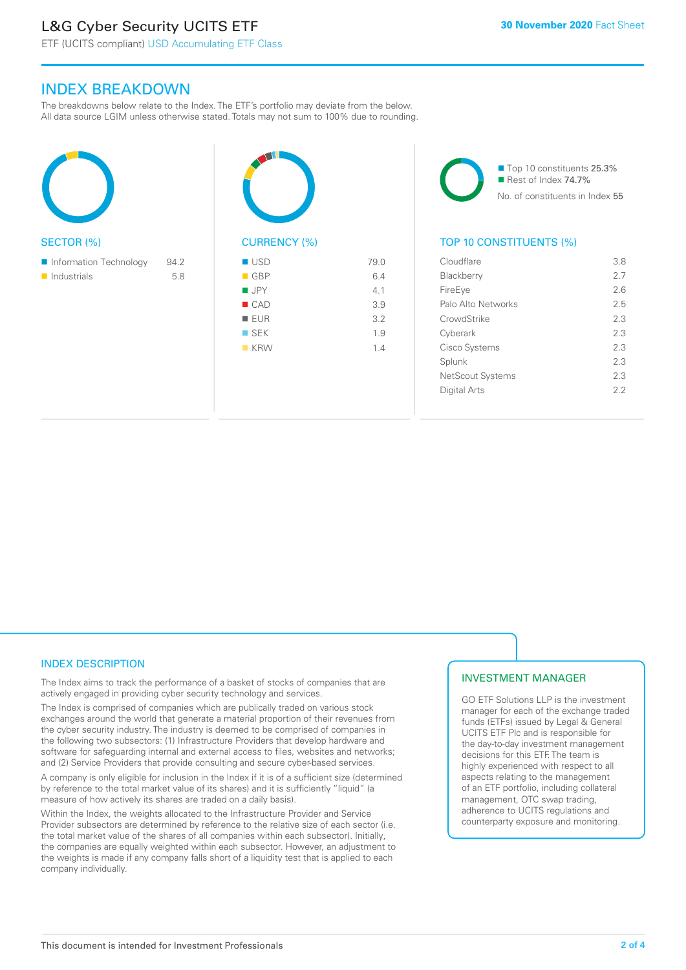# L&G Cyber Security UCITS ETF

ETF (UCITS compliant) USD Accumulating ETF Class

### INDEX BREAKDOWN

The breakdowns below relate to the Index. The ETF's portfolio may deviate from the below. All data source LGIM unless otherwise stated. Totals may not sum to 100% due to rounding.

 $\blacksquare$ 



| <b>CURRENCY (%)</b> |      |
|---------------------|------|
| <b>USD</b>          | 79.0 |
| $\blacksquare$ GBP  | 6.4  |
| <b>JPY</b>          | 4.1  |
| CAD                 | 3.9  |
| <b>EUR</b>          | 3.2  |
| $\blacksquare$ SEK  | 1.9  |
| <b>KRW</b><br>п     | 1.4  |
|                     |      |

■ Top 10 constituents 25.3% Rest of Index 74.7% No. of constituents in Index 55

#### TOP 10 CONSTITUENTS (%)

| Cloudflare         | 38  |
|--------------------|-----|
| <b>Blackberry</b>  | 27  |
| FireEye            | 2.6 |
| Palo Alto Networks | 25  |
| CrowdStrike        | 2.3 |
| Cyberark           | 23  |
| Cisco Systems      | 23  |
| Splunk             | 2.3 |
| NetScout Systems   | 2.3 |
| Digital Arts       | 22  |
|                    |     |

#### INDEX DESCRIPTION

The Index aims to track the performance of a basket of stocks of companies that are actively engaged in providing cyber security technology and services.

The Index is comprised of companies which are publically traded on various stock exchanges around the world that generate a material proportion of their revenues from the cyber security industry. The industry is deemed to be comprised of companies in the following two subsectors: (1) Infrastructure Providers that develop hardware and software for safeguarding internal and external access to files, websites and networks; and (2) Service Providers that provide consulting and secure cyber-based services.

A company is only eligible for inclusion in the Index if it is of a sufficient size (determined by reference to the total market value of its shares) and it is sufficiently "liquid" (a measure of how actively its shares are traded on a daily basis).

Within the Index, the weights allocated to the Infrastructure Provider and Service Provider subsectors are determined by reference to the relative size of each sector (i.e. the total market value of the shares of all companies within each subsector). Initially, the companies are equally weighted within each subsector. However, an adjustment to the weights is made if any company falls short of a liquidity test that is applied to each company individually.

#### INVESTMENT MANAGER

GO ETF Solutions LLP is the investment manager for each of the exchange traded funds (ETFs) issued by Legal & General UCITS ETF Plc and is responsible for the day-to-day investment management decisions for this ETF. The team is highly experienced with respect to all aspects relating to the management of an ETF portfolio, including collateral management, OTC swap trading, adherence to UCITS regulations and counterparty exposure and monitoring.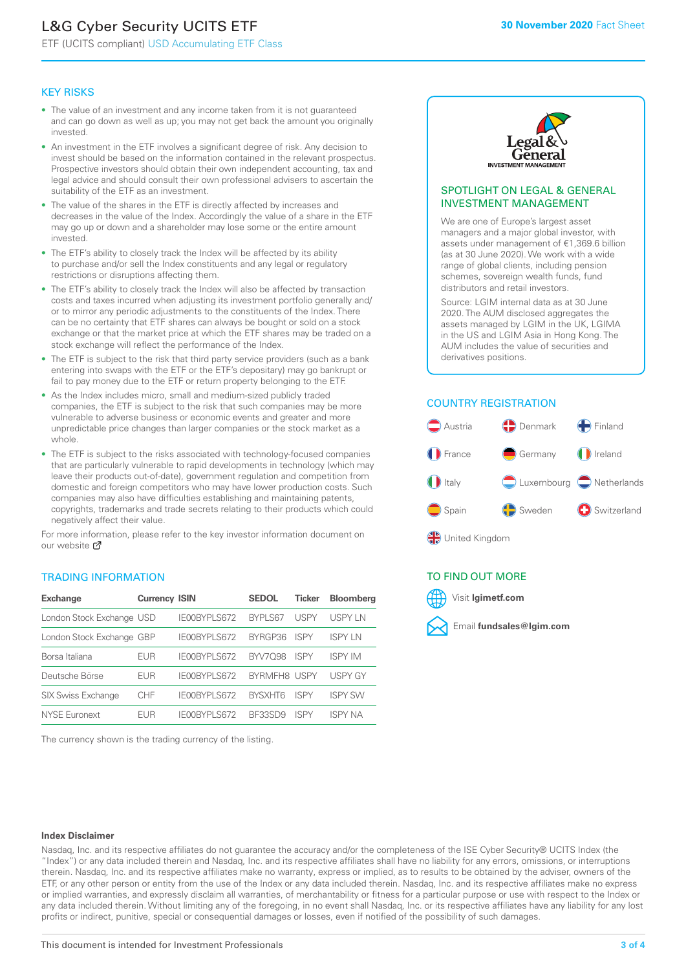# L&G Cyber Security UCITS ETF

ETF (UCITS compliant) USD Accumulating ETF Class

#### KEY RISKS

- The value of an investment and any income taken from it is not guaranteed and can go down as well as up; you may not get back the amount you originally invested.
- An investment in the ETF involves a significant degree of risk. Any decision to invest should be based on the information contained in the relevant prospectus. Prospective investors should obtain their own independent accounting, tax and legal advice and should consult their own professional advisers to ascertain the suitability of the ETF as an investment.
- The value of the shares in the ETF is directly affected by increases and decreases in the value of the Index. Accordingly the value of a share in the ETF may go up or down and a shareholder may lose some or the entire amount invested.
- The ETF's ability to closely track the Index will be affected by its ability to purchase and/or sell the Index constituents and any legal or regulatory restrictions or disruptions affecting them.
- The ETF's ability to closely track the Index will also be affected by transaction costs and taxes incurred when adjusting its investment portfolio generally and/ or to mirror any periodic adjustments to the constituents of the Index. There can be no certainty that ETF shares can always be bought or sold on a stock exchange or that the market price at which the ETF shares may be traded on a stock exchange will reflect the performance of the Index.
- The ETF is subject to the risk that third party service providers (such as a bank entering into swaps with the ETF or the ETF's depositary) may go bankrupt or fail to pay money due to the ETF or return property belonging to the ETF.
- As the Index includes micro, small and medium-sized publicly traded companies, the ETF is subject to the risk that such companies may be more vulnerable to adverse business or economic events and greater and more unpredictable price changes than larger companies or the stock market as a whole.
- The ETF is subject to the risks associated with technology-focused companies that are particularly vulnerable to rapid developments in technology (which may leave their products out-of-date), government regulation and competition from domestic and foreign competitors who may have lower production costs. Such companies may also have difficulties establishing and maintaining patents, copyrights, trademarks and trade secrets relating to their products which could negatively affect their value.

For more in[form](https://www.lgimetf.com/)ation, please refer to the key investor information document on our website Ø

#### TRADING INFORMATION

| <b>Exchange</b>           | <b>Currency ISIN</b> |                     | <b>SEDOL</b>   | <b>Ticker</b> | <b>Bloomberg</b> |
|---------------------------|----------------------|---------------------|----------------|---------------|------------------|
| London Stock Exchange USD |                      | IE00BYPLS672        | <b>BYPLS67</b> | <b>USPY</b>   | USPY IN          |
| London Stock Exchange GBP |                      | IE00BYPLS672        | BYRGP36        | <b>ISPY</b>   | ISPY I N         |
| Borsa Italiana            | <b>EUR</b>           | IE00BYPLS672        | <b>BYV7098</b> | <b>ISPY</b>   | <b>ISPY IM</b>   |
| Deutsche Börse            | <b>EUR</b>           | <b>IFOORYPLS672</b> | BYRMFH8 USPY   |               | <b>USPY GY</b>   |
| <b>SIX Swiss Exchange</b> | CHF                  | IE00BYPLS672        | <b>RYSXHT6</b> | <b>ISPY</b>   | <b>ISPY SW</b>   |
| <b>NYSE Euronext</b>      | FUR                  | IF00BYPLS672        | <b>BE33SD9</b> | ISPY          | <b>ISPY NA</b>   |

The currency shown is the trading currency of the listing.



#### SPOTLIGHT ON LEGAL & GENERAL INVESTMENT MANAGEMENT

We are one of Europe's largest asset managers and a major global investor, with assets under management of €1,369.6 billion (as at 30 June 2020). We work with a wide range of global clients, including pension schemes, sovereign wealth funds, fund distributors and retail investors.

Source: LGIM internal data as at 30 June 2020. The AUM disclosed aggregates the assets managed by LGIM in the UK, LGIMA in the US and LGIM Asia in Hong Kong. The AUM includes the value of securities and derivatives positions.

#### COUNTRY REGISTRATION



**SP** United Kingdom

#### TO FIND OUT MORE



#### **Index Disclaimer**

Nasdaq, Inc. and its respective affiliates do not guarantee the accuracy and/or the completeness of the ISE Cyber Security® UCITS Index (the "Index") or any data included therein and Nasdaq, Inc. and its respective affiliates shall have no liability for any errors, omissions, or interruptions therein. Nasdaq, Inc. and its respective affiliates make no warranty, express or implied, as to results to be obtained by the adviser, owners of the ETF, or any other person or entity from the use of the Index or any data included therein. Nasdaq, Inc. and its respective affiliates make no express or implied warranties, and expressly disclaim all warranties, of merchantability or fitness for a particular purpose or use with respect to the Index or any data included therein. Without limiting any of the foregoing, in no event shall Nasdaq, Inc. or its respective affiliates have any liability for any lost profits or indirect, punitive, special or consequential damages or losses, even if notified of the possibility of such damages.